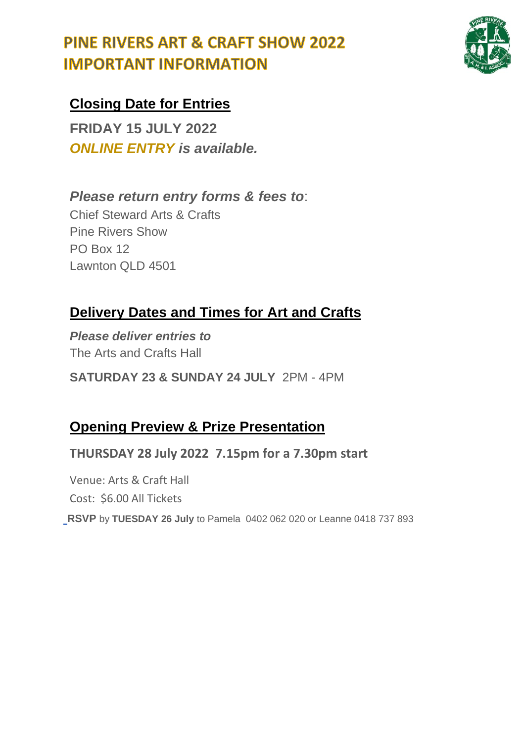

### **Closing Date for Entries**

**FRIDAY 15 JULY 2022** *ONLINE ENTRY is available.*

#### *Please return entry forms & fees to*:

Chief Steward Arts & Crafts Pine Rivers Show PO Box 12 Lawnton QLD 4501

### **Delivery Dates and Times for Art and Crafts**

*Please deliver entries to* The Arts and Crafts Hall

**SATURDAY 23 & SUNDAY 24 JULY** 2PM - 4PM

### **Opening Preview & Prize Presentation**

**THURSDAY 28 July 2022 7.15pm for a 7.30pm start**

Venue: Arts & Craft Hall Cost: \$6.00 All Tickets

**RSVP** by **TUESDAY 26 July** to Pamela 0402 062 020 or Leanne 0418 737 **RSVP** by **TUESDAY 26 July** to Pamela 0402 062 020 or Leanne 0418 737 893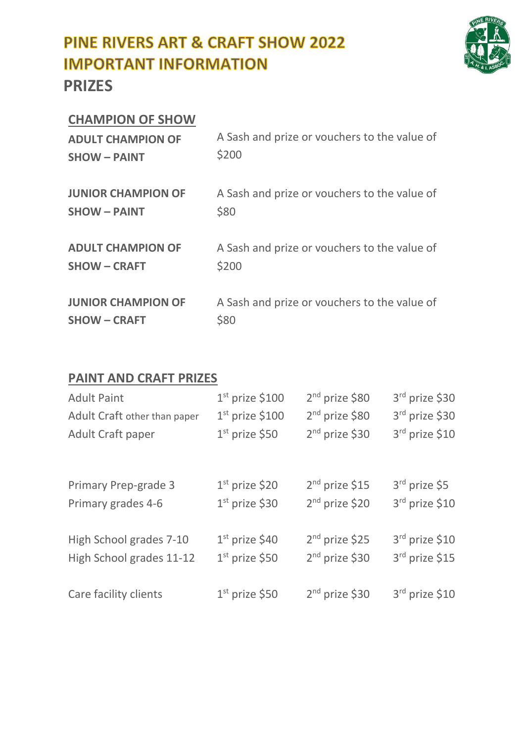

#### **CHAMPION OF SHOW**

| <b>ADULT CHAMPION OF</b>  | A Sash and prize or vouchers to the value of |
|---------------------------|----------------------------------------------|
| <b>SHOW - PAINT</b>       | \$200                                        |
| <b>JUNIOR CHAMPION OF</b> | A Sash and prize or vouchers to the value of |
| <b>SHOW - PAINT</b>       | \$80                                         |
| <b>ADULT CHAMPION OF</b>  | A Sash and prize or vouchers to the value of |
| <b>SHOW - CRAFT</b>       | \$200                                        |
| <b>JUNIOR CHAMPION OF</b> | A Sash and prize or vouchers to the value of |
| <b>SHOW - CRAFT</b>       | \$80                                         |

#### **PAINT AND CRAFT PRIZES**

| <b>Adult Paint</b>           | $1st$ prize \$100 | 2 <sup>nd</sup> prize \$80 | 3rd prize \$30            |
|------------------------------|-------------------|----------------------------|---------------------------|
| Adult Craft other than paper | $1st$ prize \$100 | 2 <sup>nd</sup> prize \$80 | 3rd prize \$30            |
| Adult Craft paper            | $1st$ prize \$50  | 2 <sup>nd</sup> prize \$30 | 3rd prize \$10            |
|                              |                   |                            |                           |
|                              |                   |                            |                           |
| <b>Primary Prep-grade 3</b>  | $1st$ prize \$20  | $2nd$ prize \$15           | 3 <sup>rd</sup> prize \$5 |
| Primary grades 4-6           | $1st$ prize \$30  | $2nd$ prize \$20           | $3rd$ prize \$10          |
|                              |                   |                            |                           |
| High School grades 7-10      | $1st$ prize \$40  | $2nd$ prize \$25           | $3rd$ prize \$10          |
| High School grades 11-12     | $1st$ prize \$50  | 2 <sup>nd</sup> prize \$30 | 3rd prize \$15            |
|                              |                   |                            |                           |
| Care facility clients        | $1st$ prize \$50  | $2nd$ prize \$30           | $3rd$ prize \$10          |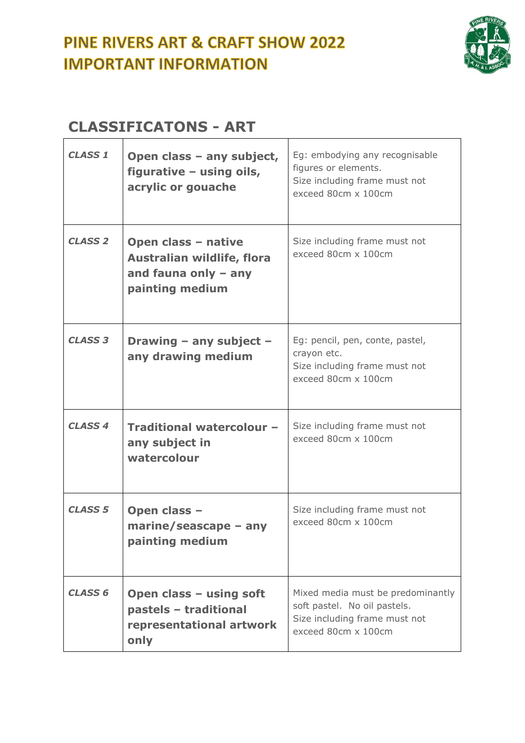

#### **CLASSIFICATONS - ART**   $\mathbf{r}$

| <b>CLASS 1</b> | Open class - any subject,<br>figurative - using oils,<br>acrylic or gouache                    | Eg: embodying any recognisable<br>figures or elements.<br>Size including frame must not<br>exceed 80cm x 100cm            |
|----------------|------------------------------------------------------------------------------------------------|---------------------------------------------------------------------------------------------------------------------------|
| <b>CLASS 2</b> | Open class - native<br>Australian wildlife, flora<br>and fauna only $-$ any<br>painting medium | Size including frame must not<br>exceed 80cm x 100cm                                                                      |
| <b>CLASS 3</b> | Drawing - any subject -<br>any drawing medium                                                  | Eg: pencil, pen, conte, pastel,<br>crayon etc.<br>Size including frame must not<br>exceed 80cm x 100cm                    |
| <b>CLASS 4</b> | Traditional watercolour -<br>any subject in<br>watercolour                                     | Size including frame must not<br>exceed 80cm x 100cm                                                                      |
| <b>CLASS 5</b> | Open class -<br>$marine/seascape - any$<br>painting medium                                     | Size including frame must not<br>exceed 80cm x 100cm                                                                      |
| <b>CLASS 6</b> | Open class - using soft<br>pastels - traditional<br>representational artwork<br>only           | Mixed media must be predominantly<br>soft pastel. No oil pastels.<br>Size including frame must not<br>exceed 80cm x 100cm |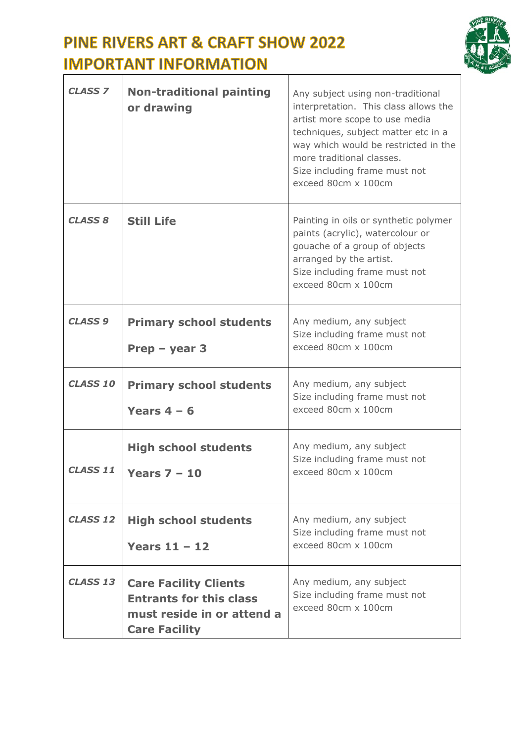

| <b>CLASS 7</b>  | <b>Non-traditional painting</b><br>or drawing                                                                        | Any subject using non-traditional<br>interpretation. This class allows the<br>artist more scope to use media<br>techniques, subject matter etc in a<br>way which would be restricted in the<br>more traditional classes.<br>Size including frame must not<br>exceed 80cm x 100cm |
|-----------------|----------------------------------------------------------------------------------------------------------------------|----------------------------------------------------------------------------------------------------------------------------------------------------------------------------------------------------------------------------------------------------------------------------------|
| <b>CLASS 8</b>  | <b>Still Life</b>                                                                                                    | Painting in oils or synthetic polymer<br>paints (acrylic), watercolour or<br>gouache of a group of objects<br>arranged by the artist.<br>Size including frame must not<br>exceed 80cm x 100cm                                                                                    |
| <b>CLASS 9</b>  | <b>Primary school students</b><br>Prep $-$ year 3                                                                    | Any medium, any subject<br>Size including frame must not<br>exceed 80cm x 100cm                                                                                                                                                                                                  |
| <b>CLASS 10</b> | <b>Primary school students</b><br>Years $4 - 6$                                                                      | Any medium, any subject<br>Size including frame must not<br>exceed 80cm x 100cm                                                                                                                                                                                                  |
| CLASS 11        | <b>High school students</b><br>Years $7 - 10$                                                                        | Any medium, any subject<br>Size including frame must not<br>exceed 80cm x 100cm                                                                                                                                                                                                  |
| <b>CLASS 12</b> | <b>High school students</b><br>Years $11 - 12$                                                                       | Any medium, any subject<br>Size including frame must not<br>exceed 80cm x 100cm                                                                                                                                                                                                  |
| <b>CLASS 13</b> | <b>Care Facility Clients</b><br><b>Entrants for this class</b><br>must reside in or attend a<br><b>Care Facility</b> | Any medium, any subject<br>Size including frame must not<br>exceed 80cm x 100cm                                                                                                                                                                                                  |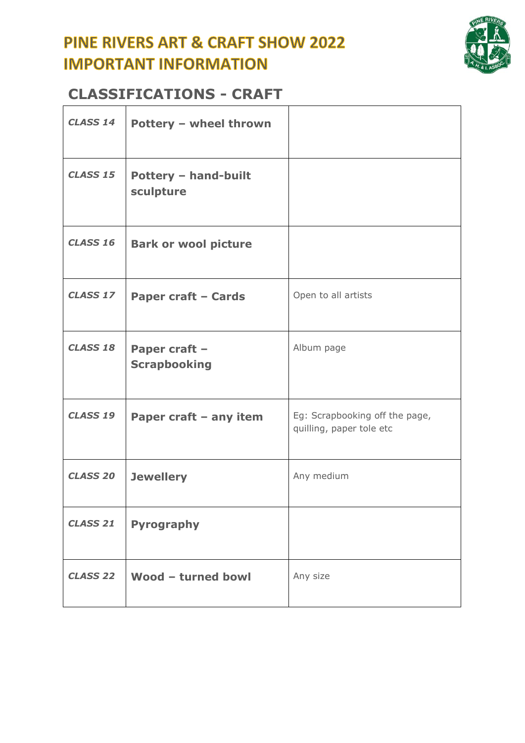

#### **CLASSIFICATIONS - CRAFT**

| <b>CLASS 14</b> | Pottery - wheel thrown                   |                                                            |
|-----------------|------------------------------------------|------------------------------------------------------------|
| <b>CLASS 15</b> | <b>Pottery - hand-built</b><br>sculpture |                                                            |
| <b>CLASS 16</b> | <b>Bark or wool picture</b>              |                                                            |
| <b>CLASS 17</b> | <b>Paper craft - Cards</b>               | Open to all artists                                        |
| <b>CLASS 18</b> | Paper craft -<br><b>Scrapbooking</b>     | Album page                                                 |
| <b>CLASS 19</b> | Paper craft - any item                   | Eg: Scrapbooking off the page,<br>quilling, paper tole etc |
| <b>CLASS 20</b> | <b>Jewellery</b>                         | Any medium                                                 |
| <b>CLASS 21</b> | <b>Pyrography</b>                        |                                                            |
| <b>CLASS 22</b> | Wood - turned bowl                       | Any size                                                   |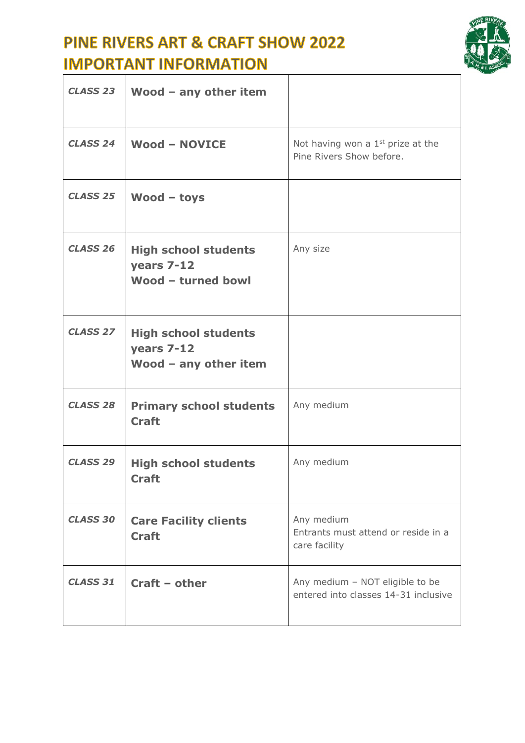

| <b>CLASS 23</b> | Wood $-$ any other item                                              |                                                                         |
|-----------------|----------------------------------------------------------------------|-------------------------------------------------------------------------|
| <b>CLASS 24</b> | <b>Wood - NOVICE</b>                                                 | Not having won a $1st$ prize at the<br>Pine Rivers Show before.         |
| <b>CLASS 25</b> | $Wood - toys$                                                        |                                                                         |
| <b>CLASS 26</b> | <b>High school students</b><br>years 7-12<br>Wood - turned bowl      | Any size                                                                |
| <b>CLASS 27</b> | <b>High school students</b><br>years 7-12<br>Wood $-$ any other item |                                                                         |
| <b>CLASS 28</b> | <b>Primary school students</b><br><b>Craft</b>                       | Any medium                                                              |
| <b>CLASS 29</b> | <b>High school students</b><br><b>Craft</b>                          | Any medium                                                              |
| <b>CLASS 30</b> | <b>Care Facility clients</b><br><b>Craft</b>                         | Any medium<br>Entrants must attend or reside in a<br>care facility      |
| <b>CLASS 31</b> | $Craft - other$                                                      | Any medium - NOT eligible to be<br>entered into classes 14-31 inclusive |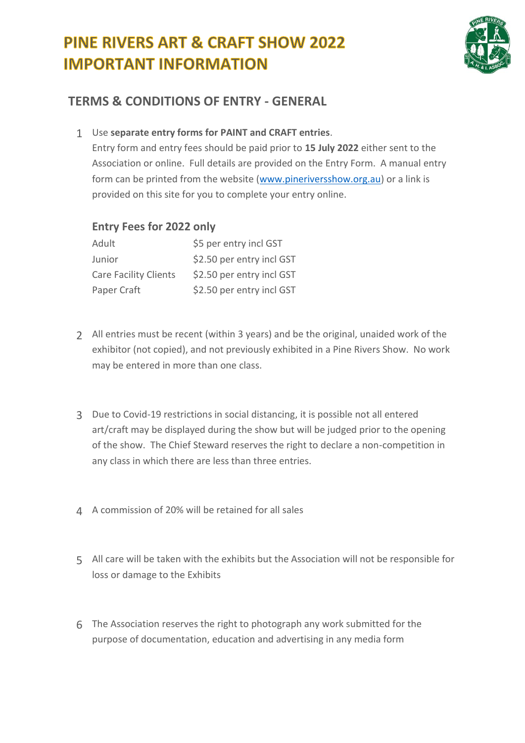

#### **TERMS & CONDITIONS OF ENTRY - GENERAL**

1 Use **separate entry forms for PAINT and CRAFT entries**.

Entry form and entry fees should be paid prior to **15 July 2022** either sent to the Association or online. Full details are provided on the Entry Form. A manual entry form can be printed from the website [\(www.pineriversshow.org.au\)](http://www.pineriversshow.org.au/) or a link is provided on this site for you to complete your entry online.

#### **Entry Fees for 2022 only**

| Adult                        | \$5 per entry incl GST    |
|------------------------------|---------------------------|
| Junior                       | \$2.50 per entry incl GST |
| <b>Care Facility Clients</b> | \$2.50 per entry incl GST |
| Paper Craft                  | \$2.50 per entry incl GST |

- 2 All entries must be recent (within 3 years) and be the original, unaided work of the exhibitor (not copied), and not previously exhibited in a Pine Rivers Show. No work may be entered in more than one class.
- 3 Due to Covid-19 restrictions in social distancing, it is possible not all entered art/craft may be displayed during the show but will be judged prior to the opening of the show. The Chief Steward reserves the right to declare a non-competition in any class in which there are less than three entries.
- 4 A commission of 20% will be retained for all sales
- 5 All care will be taken with the exhibits but the Association will not be responsible for loss or damage to the Exhibits
- 6 The Association reserves the right to photograph any work submitted for the purpose of documentation, education and advertising in any media form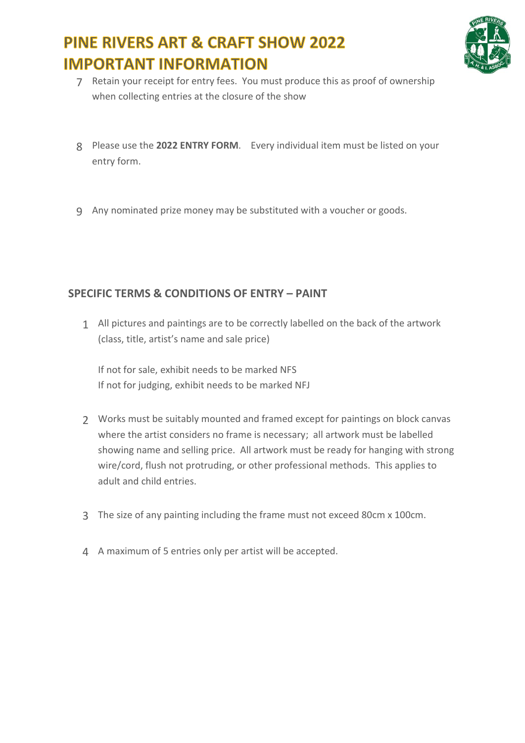

- 7 Retain your receipt for entry fees. You must produce this as proof of ownership when collecting entries at the closure of the show
- 8 Please use the **2022 ENTRY FORM**. Every individual item must be listed on your entry form.
- 9 Any nominated prize money may be substituted with a voucher or goods.

#### **SPECIFIC TERMS & CONDITIONS OF ENTRY – PAINT**

1 All pictures and paintings are to be correctly labelled on the back of the artwork (class, title, artist's name and sale price)

If not for sale, exhibit needs to be marked NFS If not for judging, exhibit needs to be marked NFJ

- 2 Works must be suitably mounted and framed except for paintings on block canvas where the artist considers no frame is necessary; all artwork must be labelled showing name and selling price. All artwork must be ready for hanging with strong wire/cord, flush not protruding, or other professional methods. This applies to adult and child entries.
- 3 The size of any painting including the frame must not exceed 80cm x 100cm.
- 4 A maximum of 5 entries only per artist will be accepted.